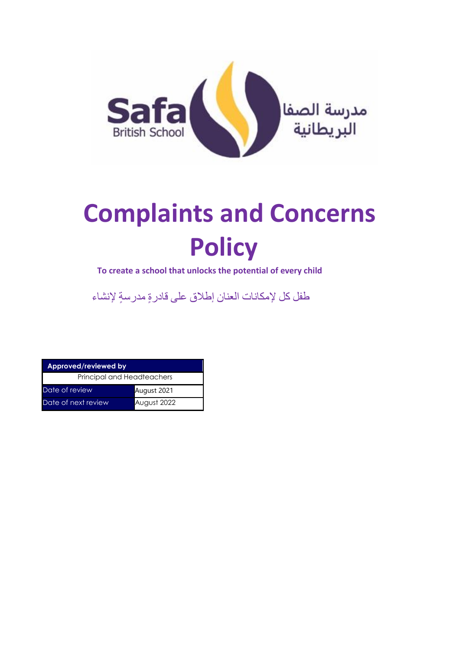

# **Complaints and Concerns Policy**

**To create a school that unlocks the potential of every child**

طفل كل إلمكانات العنان إطالق على قادرة مدرس ة إلنشاء

| Approved/reviewed by       |             |
|----------------------------|-------------|
| Principal and Headteachers |             |
| Date of review             | August 2021 |
| Date of next review        | August 2022 |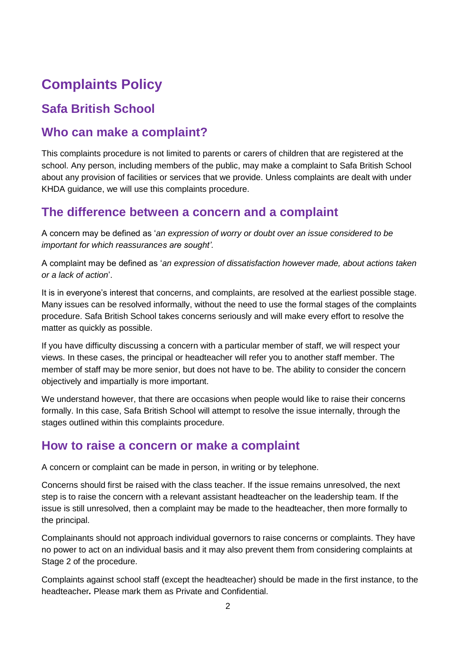# **Complaints Policy**

# **Safa British School**

#### **Who can make a complaint?**

This complaints procedure is not limited to parents or carers of children that are registered at the school. Any person, including members of the public, may make a complaint to Safa British School about any provision of facilities or services that we provide. Unless complaints are dealt with under KHDA guidance, we will use this complaints procedure.

#### **The difference between a concern and a complaint**

A concern may be defined as '*an expression of worry or doubt over an issue considered to be important for which reassurances are sought'*.

A complaint may be defined as '*an expression of dissatisfaction however made, about actions taken or a lack of action*'.

It is in everyone's interest that concerns, and complaints, are resolved at the earliest possible stage. Many issues can be resolved informally, without the need to use the formal stages of the complaints procedure. Safa British School takes concerns seriously and will make every effort to resolve the matter as quickly as possible.

If you have difficulty discussing a concern with a particular member of staff, we will respect your views. In these cases, the principal or headteacher will refer you to another staff member. The member of staff may be more senior, but does not have to be. The ability to consider the concern objectively and impartially is more important.

We understand however, that there are occasions when people would like to raise their concerns formally. In this case, Safa British School will attempt to resolve the issue internally, through the stages outlined within this complaints procedure.

#### **How to raise a concern or make a complaint**

A concern or complaint can be made in person, in writing or by telephone.

Concerns should first be raised with the class teacher. If the issue remains unresolved, the next step is to raise the concern with a relevant assistant headteacher on the leadership team. If the issue is still unresolved, then a complaint may be made to the headteacher, then more formally to the principal.

Complainants should not approach individual governors to raise concerns or complaints. They have no power to act on an individual basis and it may also prevent them from considering complaints at Stage 2 of the procedure.

Complaints against school staff (except the headteacher) should be made in the first instance, to the headteacher*.* Please mark them as Private and Confidential.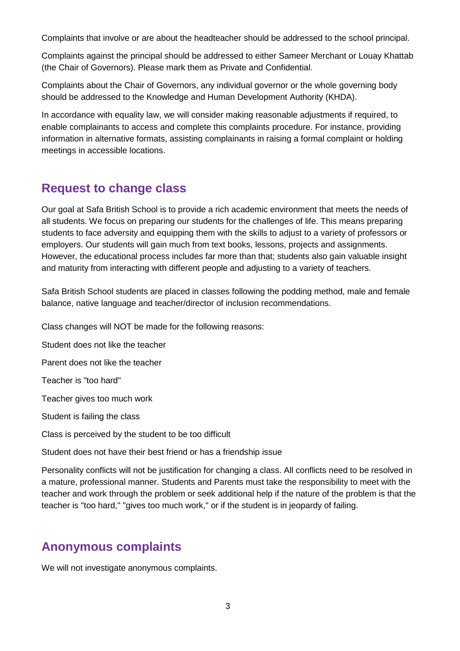Complaints that involve or are about the headteacher should be addressed to the school principal.

Complaints against the principal should be addressed to either Sameer Merchant or Louay Khattab (the Chair of Governors). Please mark them as Private and Confidential.

Complaints about the Chair of Governors, any individual governor or the whole governing body should be addressed to the Knowledge and Human Development Authority (KHDA).

In accordance with equality law, we will consider making reasonable adjustments if required, to enable complainants to access and complete this complaints procedure. For instance, providing information in alternative formats, assisting complainants in raising a formal complaint or holding meetings in accessible locations.

#### **Request to change class**

Our goal at Safa British School is to provide a rich academic environment that meets the needs of all students. We focus on preparing our students for the challenges of life. This means preparing students to face adversity and equipping them with the skills to adjust to a variety of professors or employers. Our students will gain much from text books, lessons, projects and assignments. However, the educational process includes far more than that; students also gain valuable insight and maturity from interacting with different people and adjusting to a variety of teachers.

Safa British School students are placed in classes following the podding method, male and female balance, native language and teacher/director of inclusion recommendations.

Class changes will NOT be made for the following reasons:

Student does not like the teacher

Parent does not like the teacher

Teacher is "too hard"

Teacher gives too much work

Student is failing the class

Class is perceived by the student to be too difficult

Student does not have their best friend or has a friendship issue

Personality conflicts will not be justification for changing a class. All conflicts need to be resolved in a mature, professional manner. Students and Parents must take the responsibility to meet with the teacher and work through the problem or seek additional help if the nature of the problem is that the teacher is "too hard," "gives too much work," or if the student is in jeopardy of failing.

## **Anonymous complaints**

We will not investigate anonymous complaints.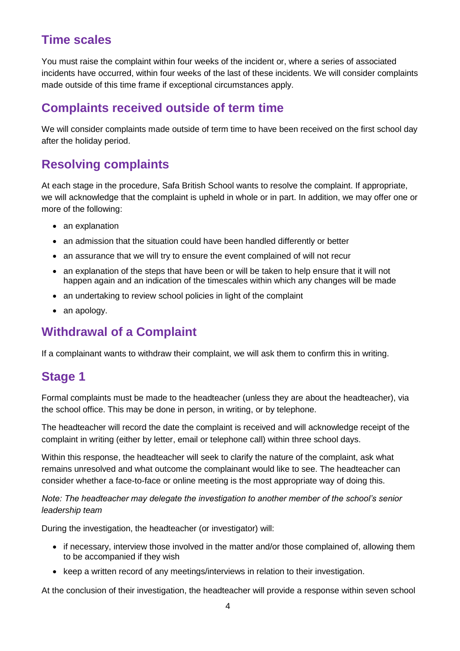### **Time scales**

You must raise the complaint within four weeks of the incident or, where a series of associated incidents have occurred, within four weeks of the last of these incidents. We will consider complaints made outside of this time frame if exceptional circumstances apply.

#### **Complaints received outside of term time**

We will consider complaints made outside of term time to have been received on the first school day after the holiday period.

### **Resolving complaints**

At each stage in the procedure, Safa British School wants to resolve the complaint. If appropriate, we will acknowledge that the complaint is upheld in whole or in part. In addition, we may offer one or more of the following:

- an explanation
- an admission that the situation could have been handled differently or better
- an assurance that we will try to ensure the event complained of will not recur
- an explanation of the steps that have been or will be taken to help ensure that it will not happen again and an indication of the timescales within which any changes will be made
- an undertaking to review school policies in light of the complaint
- an apology.

### **Withdrawal of a Complaint**

If a complainant wants to withdraw their complaint, we will ask them to confirm this in writing.

### **Stage 1**

Formal complaints must be made to the headteacher (unless they are about the headteacher), via the school office. This may be done in person, in writing, or by telephone.

The headteacher will record the date the complaint is received and will acknowledge receipt of the complaint in writing (either by letter, email or telephone call) within three school days.

Within this response, the headteacher will seek to clarify the nature of the complaint, ask what remains unresolved and what outcome the complainant would like to see. The headteacher can consider whether a face-to-face or online meeting is the most appropriate way of doing this.

*Note: The headteacher may delegate the investigation to another member of the school's senior leadership team*

During the investigation, the headteacher (or investigator) will:

- if necessary, interview those involved in the matter and/or those complained of, allowing them to be accompanied if they wish
- keep a written record of any meetings/interviews in relation to their investigation.

At the conclusion of their investigation, the headteacher will provide a response within seven school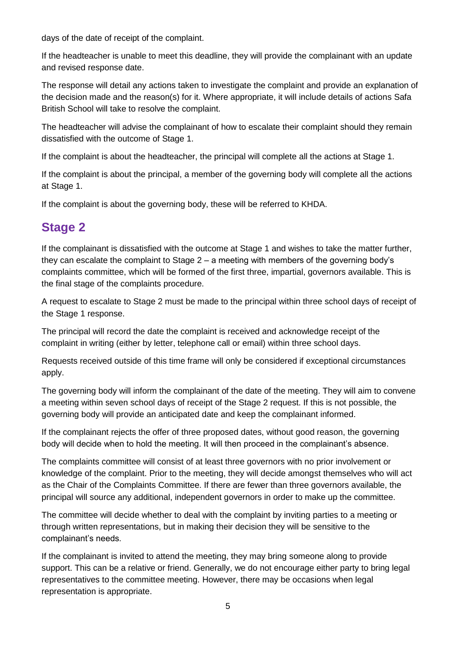days of the date of receipt of the complaint.

If the headteacher is unable to meet this deadline, they will provide the complainant with an update and revised response date.

The response will detail any actions taken to investigate the complaint and provide an explanation of the decision made and the reason(s) for it. Where appropriate, it will include details of actions Safa British School will take to resolve the complaint.

The headteacher will advise the complainant of how to escalate their complaint should they remain dissatisfied with the outcome of Stage 1.

If the complaint is about the headteacher, the principal will complete all the actions at Stage 1.

If the complaint is about the principal, a member of the governing body will complete all the actions at Stage 1.

If the complaint is about the governing body, these will be referred to KHDA.

#### **Stage 2**

If the complainant is dissatisfied with the outcome at Stage 1 and wishes to take the matter further, they can escalate the complaint to Stage 2 – a meeting with members of the governing body's complaints committee, which will be formed of the first three, impartial, governors available. This is the final stage of the complaints procedure.

A request to escalate to Stage 2 must be made to the principal within three school days of receipt of the Stage 1 response.

The principal will record the date the complaint is received and acknowledge receipt of the complaint in writing (either by letter, telephone call or email) within three school days.

Requests received outside of this time frame will only be considered if exceptional circumstances apply.

The governing body will inform the complainant of the date of the meeting. They will aim to convene a meeting within seven school days of receipt of the Stage 2 request. If this is not possible, the governing body will provide an anticipated date and keep the complainant informed.

If the complainant rejects the offer of three proposed dates, without good reason, the governing body will decide when to hold the meeting. It will then proceed in the complainant's absence.

The complaints committee will consist of at least three governors with no prior involvement or knowledge of the complaint. Prior to the meeting, they will decide amongst themselves who will act as the Chair of the Complaints Committee. If there are fewer than three governors available, the principal will source any additional, independent governors in order to make up the committee.

The committee will decide whether to deal with the complaint by inviting parties to a meeting or through written representations, but in making their decision they will be sensitive to the complainant's needs.

If the complainant is invited to attend the meeting, they may bring someone along to provide support. This can be a relative or friend. Generally, we do not encourage either party to bring legal representatives to the committee meeting. However, there may be occasions when legal representation is appropriate.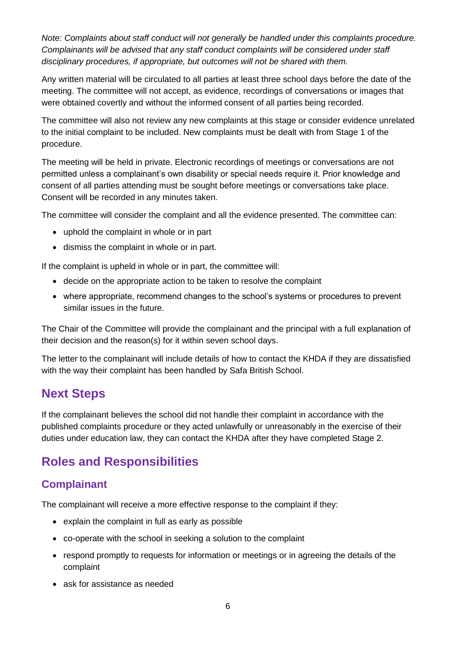*Note: Complaints about staff conduct will not generally be handled under this complaints procedure. Complainants will be advised that any staff conduct complaints will be considered under staff disciplinary procedures, if appropriate, but outcomes will not be shared with them.* 

Any written material will be circulated to all parties at least three school days before the date of the meeting. The committee will not accept, as evidence, recordings of conversations or images that were obtained covertly and without the informed consent of all parties being recorded.

The committee will also not review any new complaints at this stage or consider evidence unrelated to the initial complaint to be included. New complaints must be dealt with from Stage 1 of the procedure.

The meeting will be held in private. Electronic recordings of meetings or conversations are not permitted unless a complainant's own disability or special needs require it. Prior knowledge and consent of all parties attending must be sought before meetings or conversations take place. Consent will be recorded in any minutes taken.

The committee will consider the complaint and all the evidence presented. The committee can:

- uphold the complaint in whole or in part
- dismiss the complaint in whole or in part.

If the complaint is upheld in whole or in part, the committee will:

- decide on the appropriate action to be taken to resolve the complaint
- where appropriate, recommend changes to the school's systems or procedures to prevent similar issues in the future.

The Chair of the Committee will provide the complainant and the principal with a full explanation of their decision and the reason(s) for it within seven school days.

The letter to the complainant will include details of how to contact the KHDA if they are dissatisfied with the way their complaint has been handled by Safa British School.

#### **Next Steps**

If the complainant believes the school did not handle their complaint in accordance with the published complaints procedure or they acted unlawfully or unreasonably in the exercise of their duties under education law, they can contact the KHDA after they have completed Stage 2.

#### **Roles and Responsibilities**

#### **Complainant**

The complainant will receive a more effective response to the complaint if they:

- explain the complaint in full as early as possible
- co-operate with the school in seeking a solution to the complaint
- respond promptly to requests for information or meetings or in agreeing the details of the complaint
- ask for assistance as needed